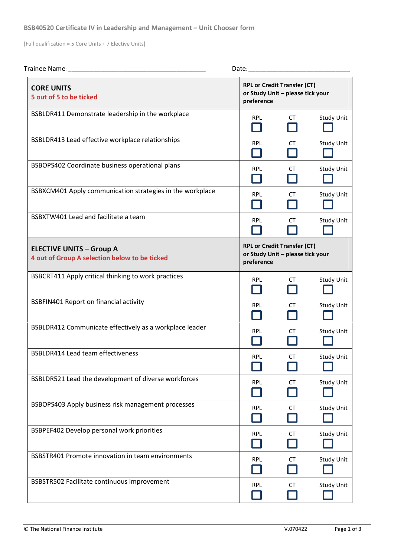## **BSB40520 Certificate IV in Leadership and Management – Unit Chooser form**

[Full qualification = 5 Core Units + 7 Elective Units]

| Trainee Name:                                                                    | Date:      |                                                                        |                   |  |
|----------------------------------------------------------------------------------|------------|------------------------------------------------------------------------|-------------------|--|
| <b>CORE UNITS</b><br>5 out of 5 to be ticked                                     | preference | <b>RPL or Credit Transfer (CT)</b><br>or Study Unit - please tick your |                   |  |
| BSBLDR411 Demonstrate leadership in the workplace                                | <b>RPL</b> | CT.                                                                    | <b>Study Unit</b> |  |
| BSBLDR413 Lead effective workplace relationships                                 | <b>RPL</b> | <b>CT</b>                                                              | <b>Study Unit</b> |  |
| BSBOPS402 Coordinate business operational plans                                  | <b>RPL</b> | CT.                                                                    | <b>Study Unit</b> |  |
| BSBXCM401 Apply communication strategies in the workplace                        | <b>RPL</b> | CT.                                                                    | Study Unit        |  |
| BSBXTW401 Lead and facilitate a team                                             | <b>RPL</b> | CT.                                                                    | <b>Study Unit</b> |  |
| <b>ELECTIVE UNITS - Group A</b><br>4 out of Group A selection below to be ticked | preference | <b>RPL or Credit Transfer (CT)</b><br>or Study Unit - please tick your |                   |  |
| BSBCRT411 Apply critical thinking to work practices                              | <b>RPL</b> | CT.                                                                    | <b>Study Unit</b> |  |
| <b>BSBFIN401 Report on financial activity</b>                                    | <b>RPL</b> | CT.                                                                    | Study Unit        |  |
| BSBLDR412 Communicate effectively as a workplace leader                          | <b>RPL</b> | CT.                                                                    | Study Unit        |  |
| <b>BSBLDR414 Lead team effectiveness</b>                                         | <b>RPL</b> | СT                                                                     | Study Unit        |  |
| BSBLDR521 Lead the development of diverse workforces                             | <b>RPL</b> | СT                                                                     | <b>Study Unit</b> |  |
| BSBOPS403 Apply business risk management processes                               | <b>RPL</b> | СT                                                                     | <b>Study Unit</b> |  |
| BSBPEF402 Develop personal work priorities                                       | <b>RPL</b> | CT.                                                                    | Study Unit        |  |
| BSBSTR401 Promote innovation in team environments                                | <b>RPL</b> | CT.                                                                    | Study Unit        |  |
| BSBSTR502 Facilitate continuous improvement                                      | RPL        | СT                                                                     | Study Unit        |  |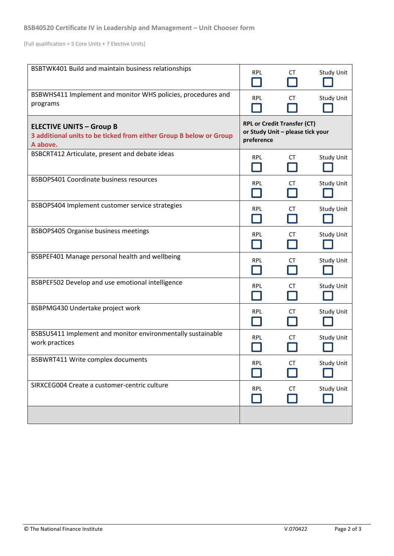[Full qualification = 5 Core Units + 7 Elective Units]

| BSBTWK401 Build and maintain business relationships                                                               | <b>RPL</b>                                                                           | CT.       | <b>Study Unit</b> |
|-------------------------------------------------------------------------------------------------------------------|--------------------------------------------------------------------------------------|-----------|-------------------|
| BSBWHS411 Implement and monitor WHS policies, procedures and<br>programs                                          | <b>RPL</b>                                                                           | CT.       | <b>Study Unit</b> |
| <b>ELECTIVE UNITS - Group B</b><br>3 additional units to be ticked from either Group B below or Group<br>A above. | <b>RPL or Credit Transfer (CT)</b><br>or Study Unit - please tick your<br>preference |           |                   |
| BSBCRT412 Articulate, present and debate ideas                                                                    | <b>RPL</b>                                                                           | CT.       | <b>Study Unit</b> |
| <b>BSBOPS401 Coordinate business resources</b>                                                                    | <b>RPL</b>                                                                           | CT        | <b>Study Unit</b> |
| BSBOPS404 Implement customer service strategies                                                                   | <b>RPL</b>                                                                           | CT.       | <b>Study Unit</b> |
| BSBOPS405 Organise business meetings                                                                              | <b>RPL</b>                                                                           | CT        | Study Unit        |
| BSBPEF401 Manage personal health and wellbeing                                                                    | <b>RPL</b>                                                                           | CT.       | <b>Study Unit</b> |
| BSBPEF502 Develop and use emotional intelligence                                                                  | <b>RPL</b>                                                                           | CT        | <b>Study Unit</b> |
| BSBPMG430 Undertake project work                                                                                  | <b>RPL</b>                                                                           | CT        | <b>Study Unit</b> |
| BSBSUS411 Implement and monitor environmentally sustainable<br>work practices                                     | <b>RPL</b>                                                                           | CT        | Study Unit        |
| BSBWRT411 Write complex documents                                                                                 | <b>RPL</b>                                                                           | <b>CT</b> | <b>Study Unit</b> |
| SIRXCEG004 Create a customer-centric culture                                                                      | <b>RPL</b>                                                                           | CT.       | Study Unit        |
|                                                                                                                   |                                                                                      |           |                   |